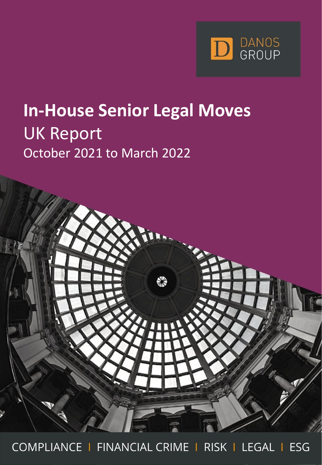

# **In-House Senior Legal Moves** UK Report October 2021 to March 2022



COMPLIANCE | FINANCIAL CRIME | RISK | LEGAL | ESG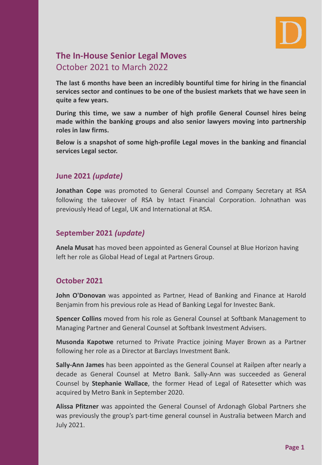

### **The In-House Senior Legal Moves** October 2021 to March 2022

**The last 6 months have been an incredibly bountiful time for hiring in the financial services sector and continues to be one of the busiest markets that we have seen in quite a few years.**

**During this time, we saw a number of high profile General Counsel hires being made within the banking groups and also senior lawyers moving into partnership roles in law firms.**

**Below is a snapshot of some high-profile Legal moves in the banking and financial services Legal sector.**

#### **June 2021** *(update)*

**Jonathan Cope** was promoted to General Counsel and Company Secretary at RSA following the takeover of RSA by Intact Financial Corporation. Johnathan was previously Head of Legal, UK and International at RSA.

#### **September 2021** *(update)*

**Anela Musat** has moved been appointed as General Counsel at Blue Horizon having left her role as Global Head of Legal at Partners Group.

#### **October 2021**

**John O'Donovan** was appointed as Partner, Head of Banking and Finance at Harold Benjamin from his previous role as Head of Banking Legal for Investec Bank.

**Spencer Collins** moved from his role as General Counsel at Softbank Management to Managing Partner and General Counsel at Softbank Investment Advisers.

**Musonda Kapotwe** returned to Private Practice joining Mayer Brown as a Partner following her role as a Director at Barclays Investment Bank.

**Sally-Ann James** has been appointed as the General Counsel at Railpen after nearly a decade as General Counsel at Metro Bank. Sally-Ann was succeeded as General Counsel by **Stephanie Wallace**, the former Head of Legal of Ratesetter which was acquired by Metro Bank in September 2020.

**Alissa Pfitzner** was appointed the General Counsel of Ardonagh Global Partners she was previously the group's part-time general counsel in Australia between March and July 2021.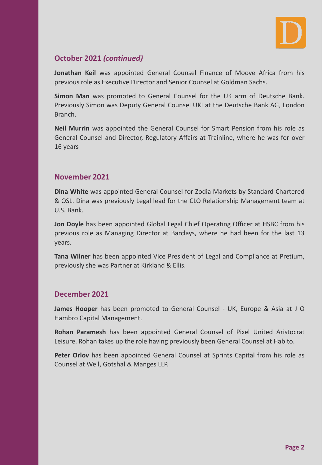

#### **October 2021** *(continued)*

**Jonathan Keil** was appointed General Counsel Finance of Moove Africa from his previous role as Executive Director and Senior Counsel at Goldman Sachs.

**Simon Man** was promoted to General Counsel for the UK arm of Deutsche Bank. Previously Simon was Deputy General Counsel UKI at the Deutsche Bank AG, London Branch.

**Neil Murrin** was appointed the General Counsel for Smart Pension from his role as General Counsel and Director, Regulatory Affairs at Trainline, where he was for over 16 years

#### **November 2021**

**Dina White** was appointed General Counsel for Zodia Markets by Standard Chartered & OSL. Dina was previously Legal lead for the CLO Relationship Management team at U.S. Bank.

**Jon Doyle** has been appointed Global Legal Chief Operating Officer at HSBC from his previous role as Managing Director at Barclays, where he had been for the last 13 years.

**Tana Wilner** has been appointed Vice President of Legal and Compliance at Pretium, previously she was Partner at Kirkland & Ellis.

#### **December 2021**

**James Hooper** has been promoted to General Counsel - UK, Europe & Asia at J O Hambro Capital Management.

**Rohan Paramesh** has been appointed General Counsel of Pixel United Aristocrat Leisure. Rohan takes up the role having previously been General Counsel at Habito.

**Peter Orlov** has been appointed General Counsel at Sprints Capital from his role as Counsel at Weil, Gotshal & Manges LLP.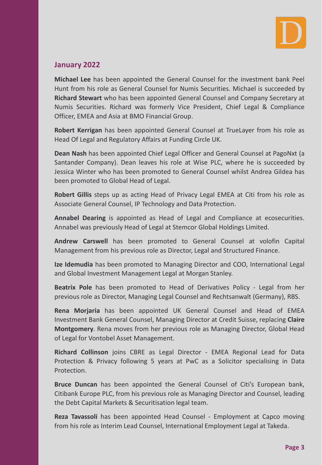#### **January 2022**

**Michael Lee** has been appointed the General Counsel for the investment bank Peel Hunt from his role as General Counsel for Numis Securities. Michael is succeeded by **Richard Stewart** who has been appointed General Counsel and Company Secretary at Numis Securities. Richard was formerly Vice President, Chief Legal & Compliance Officer, EMEA and Asia at BMO Financial Group.

**Robert Kerrigan** has been appointed General Counsel at TrueLayer from his role as Head Of Legal and Regulatory Affairs at Funding Circle UK.

**Dean Nash** has been appointed Chief Legal Officer and General Counsel at PagoNxt (a Santander Company). Dean leaves his role at Wise PLC, where he is succeeded by Jessica Winter who has been promoted to General Counsel whilst Andrea Gildea has been promoted to Global Head of Legal.

**Robert Gillis** steps up as acting Head of Privacy Legal EMEA at Citi from his role as Associate General Counsel, IP Technology and Data Protection.

**Annabel Dearing** is appointed as Head of Legal and Compliance at ecosecurities. Annabel was previously Head of Legal at Stemcor Global Holdings Limited.

**Andrew Carswell** has been promoted to General Counsel at volofin Capital Management from his previous role as Director, Legal and Structured Finance.

**Ize Idemudia** has been promoted to Managing Director and COO, International Legal and Global Investment Management Legal at Morgan Stanley.

**Beatrix Pole** has been promoted to Head of Derivatives Policy - Legal from her previous role as Director, Managing Legal Counsel and Rechtsanwalt (Germany), RBS.

**Rena Morjaria** has been appointed UK General Counsel and Head of EMEA Investment Bank General Counsel, Managing Director at Credit Suisse, replacing **Claire Montgomery**. Rena moves from her previous role as Managing Director, Global Head of Legal for Vontobel Asset Management.

**Richard Collinson** joins CBRE as Legal Director - EMEA Regional Lead for Data Protection & Privacy following 5 years at PwC as a Solicitor specialising in Data Protection.

**Bruce Duncan** has been appointed the General Counsel of Citi's European bank, Citibank Europe PLC, from his previous role as Managing Director and Counsel, leading the Debt Capital Markets & Securitisation legal team.

**Reza Tavassoli** has been appointed Head Counsel - Employment at Capco moving from his role as Interim Lead Counsel, International Employment Legal at Takeda.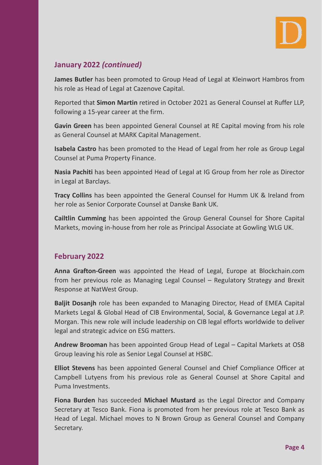

#### **January 2022** *(continued)*

**James Butler** has been promoted to Group Head of Legal at Kleinwort Hambros from his role as Head of Legal at Cazenove Capital.

Reported that **Simon Martin** retired in October 2021 as General Counsel at Ruffer LLP, following a 15-year career at the firm.

**Gavin Green** has been appointed General Counsel at RE Capital moving from his role as General Counsel at MARK Capital Management.

**Isabela Castro** has been promoted to the Head of Legal from her role as Group Legal Counsel at Puma Property Finance.

**Nasia Pachiti** has been appointed Head of Legal at IG Group from her role as Director in Legal at Barclays.

**Tracy Collins** has been appointed the General Counsel for Humm UK & Ireland from her role as Senior Corporate Counsel at Danske Bank UK.

**Cailtlin Cumming** has been appointed the Group General Counsel for Shore Capital Markets, moving in-house from her role as Principal Associate at Gowling WLG UK.

#### **February 2022**

**Anna Grafton-Green** was appointed the Head of Legal, Europe at Blockchain.com from her previous role as Managing Legal Counsel – Regulatory Strategy and Brexit Response at NatWest Group.

**Baljit Dosanjh** role has been expanded to Managing Director, Head of EMEA Capital Markets Legal & Global Head of CIB Environmental, Social, & Governance Legal at J.P. Morgan. This new role will include leadership on CIB legal efforts worldwide to deliver legal and strategic advice on ESG matters.

**Andrew Brooman** has been appointed Group Head of Legal – Capital Markets at OSB Group leaving his role as Senior Legal Counsel at HSBC.

**Elliot Stevens** has been appointed General Counsel and Chief Compliance Officer at Campbell Lutyens from his previous role as General Counsel at Shore Capital and Puma Investments.

**Fiona Burden** has succeeded **Michael Mustard** as the Legal Director and Company Secretary at Tesco Bank. Fiona is promoted from her previous role at Tesco Bank as Head of Legal. Michael moves to N Brown Group as General Counsel and Company Secretary.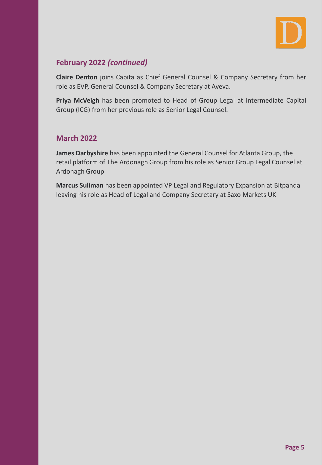

#### **February 2022** *(continued)*

**Claire Denton** joins Capita as Chief General Counsel & Company Secretary from her role as EVP, General Counsel & Company Secretary at Aveva.

**Priya McVeigh** has been promoted to Head of Group Legal at Intermediate Capital Group (ICG) from her previous role as Senior Legal Counsel.

#### **March 2022**

**James Darbyshire** has been appointed the General Counsel for Atlanta Group, the retail platform of The Ardonagh Group from his role as Senior Group Legal Counsel at Ardonagh Group

**Marcus Suliman** has been appointed VP Legal and Regulatory Expansion at Bitpanda leaving his role as Head of Legal and Company Secretary at Saxo Markets UK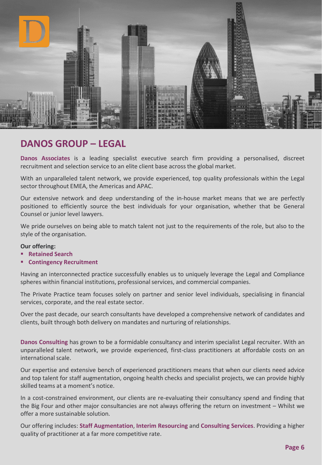

#### **DANOS GROUP – LEGAL**

**Danos Associates** is a leading specialist executive search firm providing a personalised, discreet recruitment and selection service to an elite client base across the global market.

With an unparalleled talent network, we provide experienced, top quality professionals within the Legal sector throughout EMEA, the Americas and APAC.

Our extensive network and deep understanding of the in-house market means that we are perfectly positioned to efficiently source the best individuals for your organisation, whether that be General Counsel or junior level lawyers.

We pride ourselves on being able to match talent not just to the requirements of the role, but also to the style of the organisation.

#### **Our offering:**

- **Retained Search**
- **Contingency Recruitment**

Having an interconnected practice successfully enables us to uniquely leverage the Legal and Compliance spheres within financial institutions, professional services, and commercial companies.

The Private Practice team focuses solely on partner and senior level individuals, specialising in financial services, corporate, and the real estate sector.

Over the past decade, our search consultants have developed a comprehensive network of candidates and clients, built through both delivery on mandates and nurturing of relationships.

**Danos Consulting** has grown to be a formidable consultancy and interim specialist Legal recruiter. With an unparalleled talent network, we provide experienced, first-class practitioners at affordable costs on an international scale.

Our expertise and extensive bench of experienced practitioners means that when our clients need advice and top talent for staff augmentation, ongoing health checks and specialist projects, we can provide highly skilled teams at a moment's notice.

In a cost-constrained environment, our clients are re-evaluating their consultancy spend and finding that the Big Four and other major consultancies are not always offering the return on investment – Whilst we offer a more sustainable solution.

Our offering includes: **Staff Augmentation**, **Interim Resourcing** and **Consulting Services**. Providing a higher quality of practitioner at a far more competitive rate.